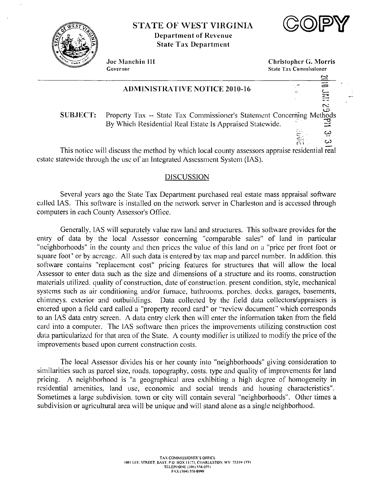

# **STATE OF WEST VIRGINIA Department of Revenue State Tax Department**



E

بب

دی

Joe Manchin III Governor

**Christopher G. Morris State Tax Commissioner** 

 $\overline{a}$ 

**HALL** 

### **ADMINISTRATIVE NOTICE 2010-16**

.<br>ج **SUBJECT:** Property Tax -- State Tax Commissioner's Statement Concerning Me hods By Which Residential Real Estate Is Appraised Statewide.

This notice will discuss the method by which local county assessors appraise residential real estate statewide through the use of an Integrated Assessment System (IAS).

### **DISCUSSION**

Several years ago the State Tax Department purchased real estate mass appraisal software called IAS. This software is installed on the network server in Charleston and is accessed through computers in each County Assessor's Office.

Generally, IAS will separately value raw land and structures. This software provides for the entry of data by the local Assessor concerning "comparable sales" of land in particular "neighborhoods" in the county and then prices the value of this land on a "price per front foot or square foot" or by acreage. All such data is entered by tax map and parcel number. In addition, this software contains "replacement cost" pricing features for structures that will allow the local Assessor to enter data such as the size and dimensions of a structure and its rooms, construction materials utilized, quality of construction, date of construction, present condition, style, mechanical systems such as air conditioning and/or furnace, bathrooms, porches, decks, garages, basements, chimneys, exterior and outbuildings. Data collected by the field data collectors/appraisers is entered upon a field card called a "property record card" or "review document" which corresponds to an IAS data entry screen. A data entry clerk then will enter the information taken from the field card into a computer. The IAS software then prices the improvements utilizing construction cost data particularized for that area of the State. A county modifier is utilized to modify the price of the improvements based upon current construction costs.

The local Assessor divides his or her county into "neighborhoods" giving consideration to similarities such as parcel size, roads, topography, costs, type and quality of improvements for land pricing. A neighborhood is "a geographical area exhibiting a high degree of homogeneity in residential amenities, land use, economic and social trends and housing characteristics". Sometimes a large subdivision, town or city will contain several "neighborhoods". Other times a subdivision or agricultural area will be unique and will stand alone as a single neighborhood.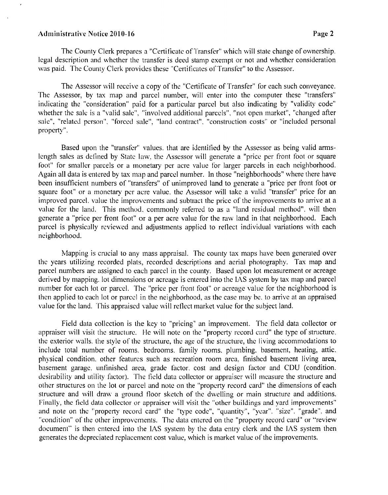#### **~tclministrati\lc Notice 201 0-1** *6* **Page 2**

The County Clerk prepares a "Certificate of Transfer" which will state change of ownership. legal description and whether the transfer is deed stamp exempt or not and whether consideration was paid. The County Clerk provides these "Certificates ol'Transfer" to the Assessor.

The Assessor will receive a copy of the "Certificate of Transfer" for cach such conveyance. The Assessor, by tax map and parcel number, will enter into the computer these "transfers" indicating the "consideration" paid for a particular parcel but also indicating by "validity code" whether the sale is a "valid sale", "involved additional parcels", "not open market", "changed after sale". "related person", "forced sale". "land contract". "construction costs" or "included personal property".

Based upon the "transfer" values, that are identified by the Assessor as being valid armslength sales as defined by State law. the Assessor will generate a "pricc per front foot or square foot" for smaller parcels or a monetary per acre value for larger parcels in each neighborhood. Again all data is entered by tax map and parccl number. In those "neighborhoods" where there have been insufficient numbers of "transfers" of unimproved land to generate a "pricc per front foot or square foot" or a monetary per acre value, the Assessor will take a valid "transfer" price for an improved parcel, value the improvements and subtract the price of the improvements to arrive at a value for the land. This method, commonly referred to as a "land residual method", will then generate a "price per front foot" or a per acre value for the raw land in that neighborhood. Each parcel is physically reviewed and adjustments applied to reflect individual variations with each neighborhood.

Mapping is crucial to any mass appraisal. The county tax maps have been generated over the years utilizing recorded plats, recorded dcscriptions and aerial photography. Tas map and parcel numbers are assigned to each parcel in the county. Based upon lot measurement or acreage derived by mapping. lot dimensions or acreage is entered into the IAS system by tax map and parcel number for each lot or parcel. The "price per front foot" or acreage value for the neighborhood is then applied to cach lot or parccl in the neighborhood, as the case may be. to arrive at an appraised value for the land. This appraised value will reflect market value for the subject land.

Field data collection is the key to "pricing" an improvement. The field data collector or appraiser will visit the structure. He will note on the "property record card" the type of structure. the exterior walls, the style of the structure, the age of the structure, the living accommodations to include total number of rooms. bedrooms. family rooms. plumbing. basement, heating, attic. physical condition. other features such as recreation room area. finished basement living area, basement garage, unfinished area, grade factor, cost and design factor and CDU (condition. desirability and utility factor). The field data collector or appraiser will measure the structure and other structures on the lot or parcel and notc on the "property record card" the dimensions of each structure and will draw a ground floor sketch of the dwelling or main structure and additions. Finally, the field data collector or appraiser will visit the "other buildings and yard improvements" and note on the "property record card" the "type code", "quantity", "year". "size". "grade". and "condition" of the other improvements. The data entered on the "property record card" or "review document" is then entered into the **I.AS** system by the data entry clerk and thc **IAS** system then generates the dcpreciated replacement cost value, which is market value of the improvements.